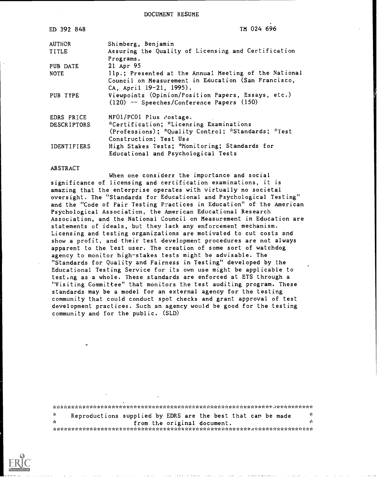DOCUMENT RESUME

| TM 024 696                                                                                                                              |
|-----------------------------------------------------------------------------------------------------------------------------------------|
| Shimberg, Benjamin                                                                                                                      |
| Assuring the Quality of Licensing and Certification                                                                                     |
| Programs.                                                                                                                               |
| 21 Apr 95                                                                                                                               |
| 11p.; Presented at the Annual Meeting of the National<br>Council on Measurement in Education (San Francisco,<br>CA, April 19-21, 1995). |
| Viewpoints (Opinion/Position Papers, Essays, etc.)<br>$(120)$ -- Speeches/Conference Papers $(150)$                                     |
| MF01/PC01 Plus rostage.                                                                                                                 |
| *Certification; *Licensing Examinations                                                                                                 |
| (Professions); *Quality Control; *Standards; *Test                                                                                      |
| Construction; Test Use                                                                                                                  |
| High Stakes Tests; *Monitoring; Standards for<br>Educational and Psychological Tests                                                    |
|                                                                                                                                         |

## **ABSTRACT**

When one considers the importance and social significance of licensing and certification examinations, it is amazing that the enterprise operates with virtually no societal oversight. The "Standards for Educational and Psychological Testing" and the "Code of Fair Testing Practices in Education" of the American Psychological Association, the American Educational Research Association, and the National Council on Measurement in Education are statements of ideals, but they lack any enforcement mechanism. Licensing and testing organizations are motivated to cut costs and show a profit, and their test development procedures are not always apparent to the test user. The creation of some sort of watchdog agency to monitor high-stakes tests might be advisable. The "Standards for Quality and Fairness in Testing" developed by the Educational Testing Service for its own use might be applicable to testing as a whole. These standards are enforced at ETS through a "Visiting Committee" that monitors the test auditing program. These standards may be a model for an external agency for the testing community that could conduct spot checks and grant approval of test development practices. Such an agency would be good for the testing community and for the public. (SLD)

 $\mathbf{r}$ γķ. Reproductions supplied by EDRS are the best that can be made  $\mathcal{A}$  $\mathcal{L}_{\mathcal{C}}$ from the original document. 

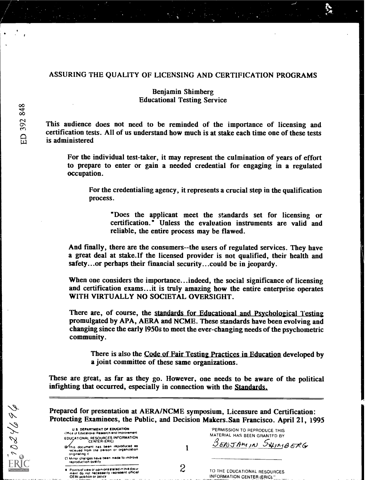## ASSURING THE QUALITY OF LICENSING AND CERTIFICATION PROGRAMS

## **Benjamin Shimberg Educational Testing Service**

This audience does not need to be reminded of the importance of licensing and certification tests. All of us understand how much is at stake each time one of these tests is administered

For the individual test-taker, it may represent the culmination of years of effort to prepare to enter or gain a needed credential for engaging in a regulated occupation.

For the credentialing agency, it represents a crucial step in the qualification process.

"Does the applicant meet the standards set for licensing or certification." Unless the evaluation instruments are valid and reliable, the entire process may be flawed.

And finally, there are the consumers--the users of regulated services. They have a great deal at stake. If the licensed provider is not qualified, their health and safety...or perhaps their financial security...could be in jeopardy.

When one considers the importance...indeed, the social significance of licensing and certification exams...it is truly amazing how the entire enterprise operates WITH VIRTUALLY NO SOCIETAL OVERSIGHT.

There are, of course, the standards for Educational and Psychological Testing promulgated by APA, AERA and NCME. These standards have been evolving and changing since the early 1950s to meet the ever-changing needs of the psychometric community.

There is also the Code of Fair Testing Practices in Education developed by a joint committee of these same organizations.

These are great, as far as they go. However, one needs to be aware of the political infighting that occurred, especially in connection with the Standards.

Prepared for presentation at AERA/NCME symposium, Licensure and Certification: Protecting Examinees, the Public, and Decision Makers. San Francisco. April 21, 1995

1

 $\overline{c}$ 

| U.S. DEPARTMENT OF EDUCATION<br>Office of Educational Research and Improvement                         |
|--------------------------------------------------------------------------------------------------------|
| EDUCATIONAL RESOURCES INFORMATION<br><b>CENTER (ERIC)</b>                                              |
| (D'This document has been reproduced as<br>received from the parson or organization<br>originating it  |
| C) Minor chariges have been made to improve<br>reproduction quality                                    |
| <b>a</b> Points of view or opinions stated in this docu-<br>ment do not necessarily represent official |

OERI position or policy

| PERMISSION TO REPRODUCE THIS<br>MATERIAL HAS BEEN GRANTED BY |  |
|--------------------------------------------------------------|--|
| <b>BENJAMIN SUIMBERG</b>                                     |  |
|                                                              |  |

TO THE EDUCATIONAL RESOURCES **INFORMATION CENTER (ERIC).**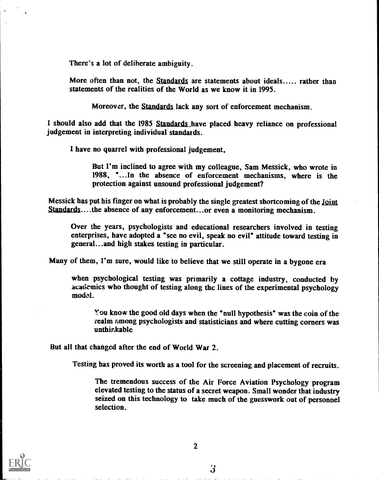There's a lot of deliberate ambiguity.

More often than not, the Standards are statements about ideals..... rather than statements of the realities of the World as we know it in 1995.

Moreover, the Standards lack any sort of enforcement mechanism.

I should also add that the 1985 Standards have placed heavy reliance on professional judgement in interpreting individual standards.

I have no quarrel with professional judgement,

But I'm inclined to agree with my colleague, Sam Messick, who wrote in 1988, "...In the absence of enforcement mechanisms, where is the protection against unsound professional judgement?

Messick has put his finger on what is probably the single greatest shortcoming of the Joint Standards....the absence of any enforcement...or even a monitoring mechanism.

Over the years, psychologists and educational researchers involved in testing enterprises, have adopted a "see no evil, speak no evil" attitude toward testing in general...and high stakes testing in particular.

Many of them, I'm sure, would like to believe that we still operate in a bygone era

when psychological testing was primarily a cottage industry, conducted by academics who thought of testing along the lines of the experimental psychology model.

You know the good old days when the "null hypothesis" was the coin of the realm among psychologists and statisticians and where cutting corners was unthinkable

But all that changed after the end of World War 2.

Testing has proved its worth as a tool for the screening and placement of recruits.

The tremendous success of the Air Force Aviation Psychology program elevated testing to the status of a secret weapon. Small wonder that industry seized on this technology to take much of the guesswork out of personnel selection.

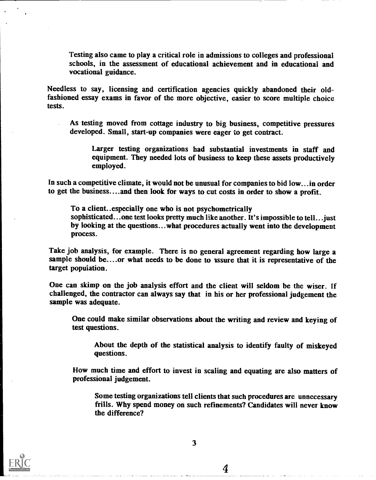Testing also came to play a critical role in admissions to colleges and professional schools, in the assessment of educational achievement and in educational and vocational guidance.

Needless to say, licensing and certification agencies quickly abandoned their oldfashioned essay exams in favor of the more objective, easier to score multiple choice tests.

As testing moved from cottage industry to big business, competitive pressures developed. Small, start-up companies were eager to get contract.

Larger testing organizations had substantial investments in staff and equipment. They needed lots of business to keep these assets productively employed.

In such a competitive climate, it would not be unusual for companies to bid low...in order to get the business....and then look for ways to cut costs in order to show a profit.

To a client..especially one who is not psychometrically sophisticated...one test looks pretty much like another. It's impossible to tell...just by looking at the questions...what procedures actually went into the development process.

Take job analysis, for example. There is no general agreement regarding how large a sample should be....or what needs to be done to assure that it is representative of the target population.

One can skimp on the job analysis effort and the client will seldom be the wiser. If challenged, the contractor can always say that in his or her professional judgement the sample was adequate.

One could make similar observations about the writing and review and keying of test questions.

About the depth of the statistical analysis to identify faulty of miskeyed questions.

How much time and effort to invest in scaling and equating are also matters of professional judgement.

Some testing organizations tell clients that such procedures are unnecessary frills. Why spend money on such refinements? Candidates will never know the difference?

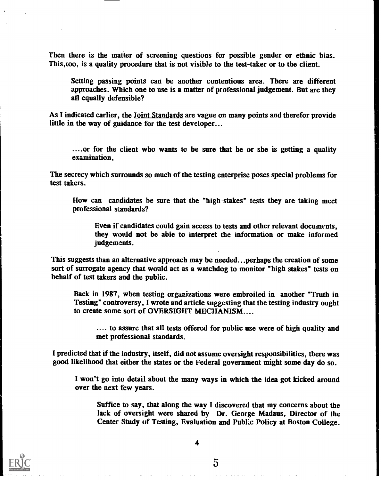Then there is the matter of screening questions for possible gender or ethnic bias. This,too, is a quality procedure that is not visible to the test-taker or to the client.

Setting passing points can be another contentious area. There are different approaches. Which one to use is a matter of professional judgement. But are they all equally defensible?

As I indicated earlier, the Joint Standards are vague on many points and therefor provide little in the way of guidance for the test developer...

....or for the client who wants to be sure that he or she is getting a quality examination,

The secrecy which surrounds so much of the testing enterprise poses special problems for test takers.

How can candidates be sure that the "high-stakes" tests they are taking meet professional standards?

Even if candidates could gain access to tests and other relevant documents, they would not be able to interpret the information or make informed judgements.

This suggests than an alternative approach may be needed...perhaps the creation of some sort of surrogate agency that would act as a watchdog to monitor "high stakes" tests on behalf of test takers and the public.

Back in 1987, when testing organizations were embroiled in another "Truth in Testing\* controversy, I wrote and article suggesting that the testing industry ought to create some sort of OVERSIGHT MECHANISM....

.... to assure that all tests offered for public use were of high quality and met professional standards.

I predicted that if the industry, itself, did not assume oversight responsibilities, there was good likelihood that either the states or the Federal government might some day do so.

I won't go into detail about the many ways in which the idea got kicked around over the next few years.

Suffice to say, that along the way I discovered that my concerns about the lack of oversight were shared by Dr. George Madaus, Director of the Center Study of Testing, Evaluation and Publ:c Policy at Boston College.

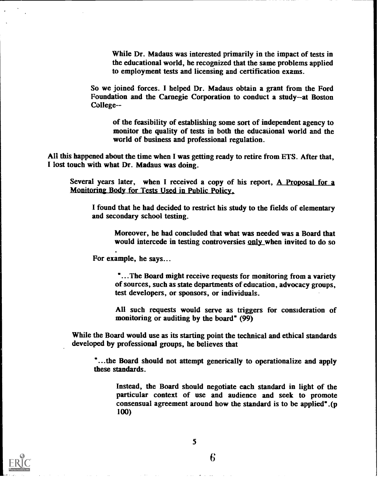While Dr. Madaus was interested primarily in the impact of tests in the educational world, he recognized that the same problems applied to employment tests and licensing and certification exams.

So we joined forces. I helped Dr. Madaus obtain a grant from the Ford Foundation and the Carnegie Corporation to conduct a study--at Boston College--

of the feasibility of establishing some sort of independent agency to monitor the quality of tests in both the educational world and the world of business and professional regulation.

All this happened about the time when I was getting ready to retire from ETS. After that, I lost touch with what Dr. Madaus was doing.

Several years later, when I received a copy of his report, A Proposal for a Monitoring Body for Tests Used in Public Policy.

I found that he had decided to restrict his study to the fields of elementary and secondary school testing.

Moreover, he had concluded that what was needed was a Board that would intercede in testing controversies only when invited to do so

For example, he says...

"...The Board might receive requests for monitoring from a variety of sources, such as state departments of education, advocacy groups, test developers, or sponsors, or individuals.

All such requests would serve as triggers for consideration of monitoring or auditing by the board" (99)

While the Board would use as its starting point the technical and ethical standards developed by professional groups, he believes that

"...the Board should not attempt generically to operationalize and apply these standards.

Instead, the Board should negotiate each standard in light of the particular context of use and audience and seek to promote consensual agreement around how the standard is to be applied" .(p 100)

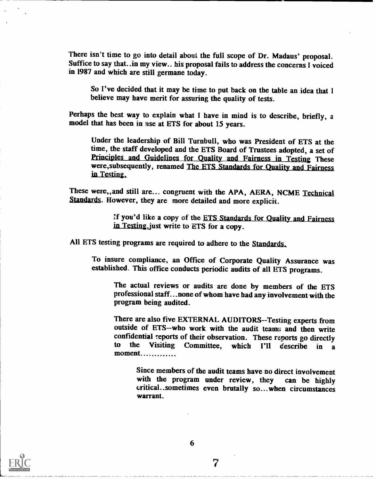There isn't time to go into detail about the full scope of Dr. Madaus' proposal. Suffice to say that..in my view., his proposal fails to address the concerns I voiced in 1987 and which are still germane today.

So I've decided that it may be time to put back on the table an idea that I believe may have merit for assuring the quality of tests.

Perhaps the best way to explain what I have in mind is to describe, briefly, a model that has been in use at ETS for about 15 years.

Under the leadership of Bill Turnbull, who was President of ETS at the time, the staff developed and the ETS Board of Trustees adopted, a set of Principles and Guidelines for Quality and Fairness in Testing These were,subsequently, renamed The ETS Standards for Quality and Fairness in Testing.

These were,, and still are... congruent with the APA, AERA, NCME Technical Standards. However, they are more detailed and more explicit.

> !:f you'd like a copy of the ETS Standards for Quality and Fairness in Testing, just write to ETS for a copy.

All ETS testing programs are required to adhere to the Standards.

To insure compliance, an Office of Corporate Quality Assurance was established. This office conducts periodic audits of all ETS programs.

The actual reviews or audits are done by members of the ETS professional staff...none of whom have had any involvement with the program being audited.

There are also five EXTERNAL AUDITORS--Testing experts from outside of ETS--who work with the audit teams and then write confidential reports of their observation. These reports go directly<br>to the Visiting Committee which  $121$  describe in a the Visiting Committee, which I'll describe in a moment.............

Since members of the audit teams have no direct involvement with the program under review, they can be highly critical..sometimes even brutally so...when circumstances warrant.

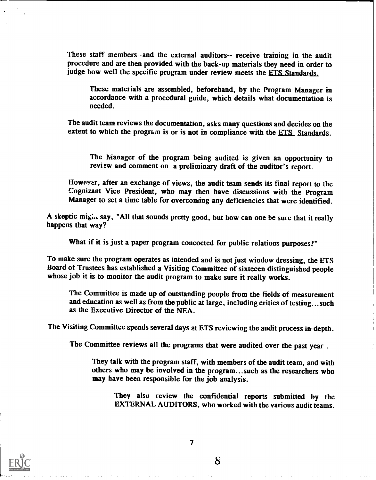These staff members--and the external auditors-- receive training in the audit procedure and are then provided with the back-up materials they need in order to judge how well the specific program under review meets the ETS Standards.

These materials are assembled, beforehand, by the Program Manager in accordance with a procedural guide, which details what documentation is needed.

The audit team reviews the documentation, asks many questions and decides on the extent to which the program is or is not in compliance with the  $ETS$  Standards.

The Manager of the program being audited is given an opportunity to review and comment on a preliminary draft of the auditor's report.

However, after an exchange of views, the audit team sends its final report to the Cognizant Vice President, who may then have discussions with the Program Manager to set a time table for overcoming any deficiencies that were identified.

A skeptic might say, "All that sounds pretty good, but how can one be sure that it really happens that way?

What if it is just a paper program concocted for public relations purposes?"

To make sure the program operates as intended and is not just window dressing, the ETS Board of Trustees has established a Visiting Committee of sixteeen distinguished people whose job it is to monitor the audit program to make sure it really works.

The Committee is made up of outstanding people from the fields of measurement and education as well as from the public at large, including critics of testing...such as the Executive Director of the NEA.

The Visiting Committee spends several days at ETS reviewing the audit process in-depth.

The Committee reviews all the programs that were audited over the past year..

They talk with the program staff, with members of the audit team, and with others who may be involved in the program...such as the researchers who may have been responsible for the job analysis.

They also review the confidential reports submitted by the EXTERNAL AUDITORS, who worked with the various audit teams.

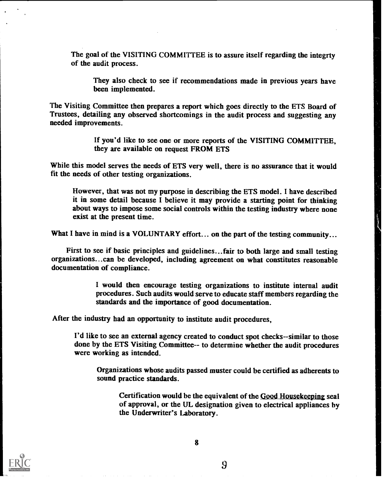The goal of the VISITING COMMITTEE is to assure itself regarding the integrty of the audit process.

They also check to see if recommendations made in previous years have been implemented.

The Visiting Committee then prepares a report which goes directly to the ETS Board of Trustees, detailing any observed shortcomings in the audit process and suggesting any needed improvements.

> If you'd like to see one or more reports of the VISITING COMMITTEE, they are available on request FROM ETS

While this model serves the needs of ETS very well, there is no assurance that it would fit the needs of other testing organizations.

However, that was not my purpose in describing the ETS model. I have described it in some detail because I believe it may provide a starting point for thinking about ways to impose some social controls within the testing industry where none exist at the present time.

What I have in mind is a VOLUNTARY effort... on the part of the testing community...

First to see if basic principles and guidelines...fair to both large and small testing organizations...can be developed, including agreement on what constitutes reasonable documentation of compliance.

> I would then encourage testing organizations to institute internal audit procedures. Such audits would serve to educate staff members regarding the standards and the importance of good documentation.

After the industry had an opportunity to institute audit procedures,

I'd like to see an external agency created to conduct spot checks--similar to those done by the ETS Visiting Committee-- to determine whether the audit procedures were working as intended.

Organizations whose audits passed muster could be certified as adherents to sound practice standards.

Certification would be the equivalent of the Good Housekeeping seal of approval, or the UL designation given to electrical appliances by the Underwriter's Laboratory.

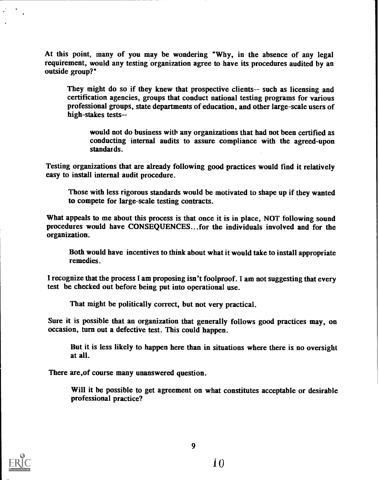At this point, many of you may be wondering "Why, in the absence of any legal requirement, would any testing organization agree to have its procedures audited by an outside group?'

They might do so if they knew that prospective clients-- such as licensing and certification agencies, groups that conduct national testing programs for various professional groups, state departments of education, and other large-scale users of high-stakes tests--

would not do business with any organizations that had not been certified as conducting internal audits to assure compliance with the agreed-upon standat ds.

Testing organizations that are already following good practices would find it relatively easy to install internal audit procedure.

Those with less rigorous standards would be motivated to shape up if they wanted to compete for large-scale testing contracts.

What appeals to me about this process is that once it is in place, NOT following sound procedures would have CONSEQUENCES...for the individuals involved and for the organization.

Both would have incentives to think about what it would take to install appropriate remedies.

I recognize that the process I am proposing isn't foolproof. I am not suggesting that every test be checked out before being put into operational use.

That might be politically correct, but not very practical.

Sure it is possible that an organization that generally follows good practices may, on occasion, turn out a defective test. This could happen.

But it is less likely to happen here than in situations where there is no oversight at all.

There are,of course many unanswered question.

Will it be possible to get agreement on what constitutes acceptable or desirable professional practice?